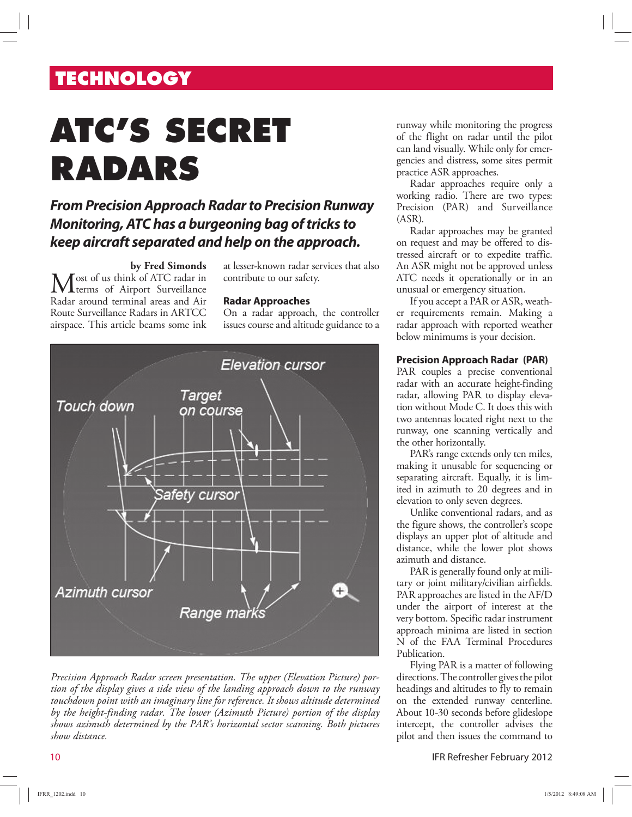# **TECHNOLOGY**

# **ATC'S SECRET RADARS**

### **From Precision Approach Radar to Precision Runway Monitoring, ATC has a burgeoning bag of tricks to keep aircraft separated and help on the approach.**

### **by Fred Simonds**

Most of us think of ATC radar in terms of Airport Surveillance Radar around terminal areas and Air Route Surveillance Radars in ARTCC airspace. This article beams some ink at lesser-known radar services that also contribute to our safety.

#### **Radar Approaches**

On a radar approach, the controller issues course and altitude guidance to a



*Precision Approach Radar screen presentation. The upper (Elevation Picture) portion of the display gives a side view of the landing approach down to the runway touchdown point with an imaginary line for reference. It shows altitude determined by the height-finding radar. The lower (Azimuth Picture) portion of the display shows azimuth determined by the PAR's horizontal sector scanning. Both pictures show distance.*

runway while monitoring the progress of the flight on radar until the pilot can land visually. While only for emergencies and distress, some sites permit practice ASR approaches.

Radar approaches require only a working radio. There are two types: Precision (PAR) and Surveillance (ASR).

Radar approaches may be granted on request and may be offered to distressed aircraft or to expedite traffic. An ASR might not be approved unless ATC needs it operationally or in an unusual or emergency situation.

If you accept a PAR or ASR, weather requirements remain. Making a radar approach with reported weather below minimums is your decision.

### **Precision Approach Radar (PAR)**

PAR couples a precise conventional radar with an accurate height-finding radar, allowing PAR to display elevation without Mode C. It does this with two antennas located right next to the runway, one scanning vertically and the other horizontally.

PAR's range extends only ten miles, making it unusable for sequencing or separating aircraft. Equally, it is limited in azimuth to 20 degrees and in elevation to only seven degrees.

Unlike conventional radars, and as the figure shows, the controller's scope displays an upper plot of altitude and distance, while the lower plot shows azimuth and distance.

PAR is generally found only at military or joint military/civilian airfields. PAR approaches are listed in the AF/D under the airport of interest at the very bottom. Specific radar instrument approach minima are listed in section N of the FAA Terminal Procedures Publication.

Flying PAR is a matter of following directions. The controller gives the pilot headings and altitudes to fly to remain on the extended runway centerline. About 10-30 seconds before glideslope intercept, the controller advises the pilot and then issues the command to

10 IFR Refresher February 2012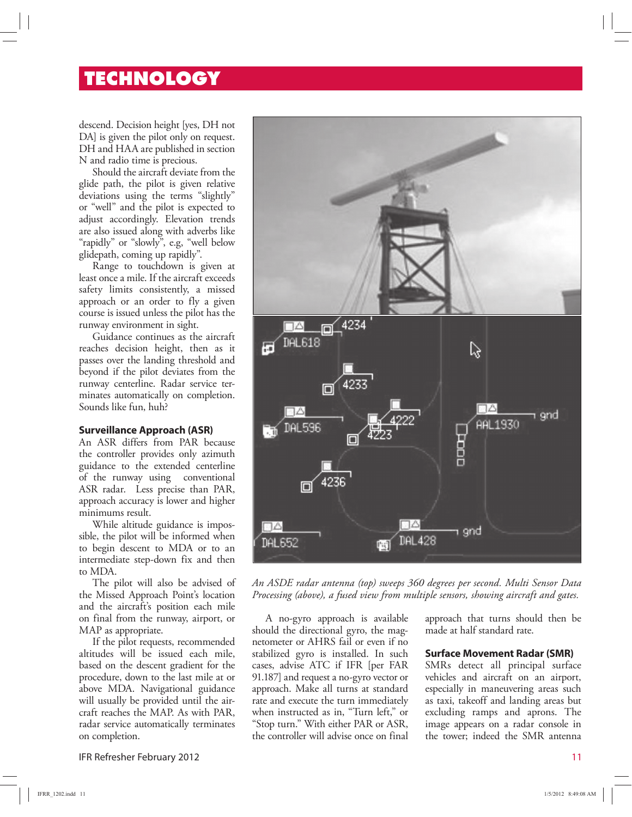### **TECHNOLOGY**

descend. Decision height [yes, DH not DA] is given the pilot only on request. DH and HAA are published in section N and radio time is precious.

Should the aircraft deviate from the glide path, the pilot is given relative deviations using the terms "slightly" or "well" and the pilot is expected to adjust accordingly. Elevation trends are also issued along with adverbs like "rapidly" or "slowly", e.g, "well below glidepath, coming up rapidly".

Range to touchdown is given at least once a mile. If the aircraft exceeds safety limits consistently, a missed approach or an order to fly a given course is issued unless the pilot has the runway environment in sight.

Guidance continues as the aircraft reaches decision height, then as it passes over the landing threshold and beyond if the pilot deviates from the runway centerline. Radar service terminates automatically on completion. Sounds like fun, huh?

### **Surveillance Approach (ASR)**

An ASR differs from PAR because the controller provides only azimuth guidance to the extended centerline of the runway using conventional ASR radar. Less precise than PAR, approach accuracy is lower and higher minimums result.

While altitude guidance is impossible, the pilot will be informed when to begin descent to MDA or to an intermediate step-down fix and then to MDA.

The pilot will also be advised of the Missed Approach Point's location and the aircraft's position each mile on final from the runway, airport, or MAP as appropriate.

If the pilot requests, recommended altitudes will be issued each mile, based on the descent gradient for the procedure, down to the last mile at or above MDA. Navigational guidance will usually be provided until the aircraft reaches the MAP. As with PAR, radar service automatically terminates on completion.

IFR Refresher February 2012 11



*An ASDE radar antenna (top) sweeps 360 degrees per second. Multi Sensor Data Processing (above), a fused view from multiple sensors, showing aircraft and gates.* 

A no-gyro approach is available should the directional gyro, the magnetometer or AHRS fail or even if no stabilized gyro is installed. In such cases, advise ATC if IFR [per FAR 91.187] and request a no-gyro vector or approach. Make all turns at standard rate and execute the turn immediately when instructed as in, "Turn left," or "Stop turn." With either PAR or ASR, the controller will advise once on final approach that turns should then be made at half standard rate.

### **Surface Movement Radar (SMR)**

SMRs detect all principal surface vehicles and aircraft on an airport, especially in maneuvering areas such as taxi, takeoff and landing areas but excluding ramps and aprons. The image appears on a radar console in the tower; indeed the SMR antenna